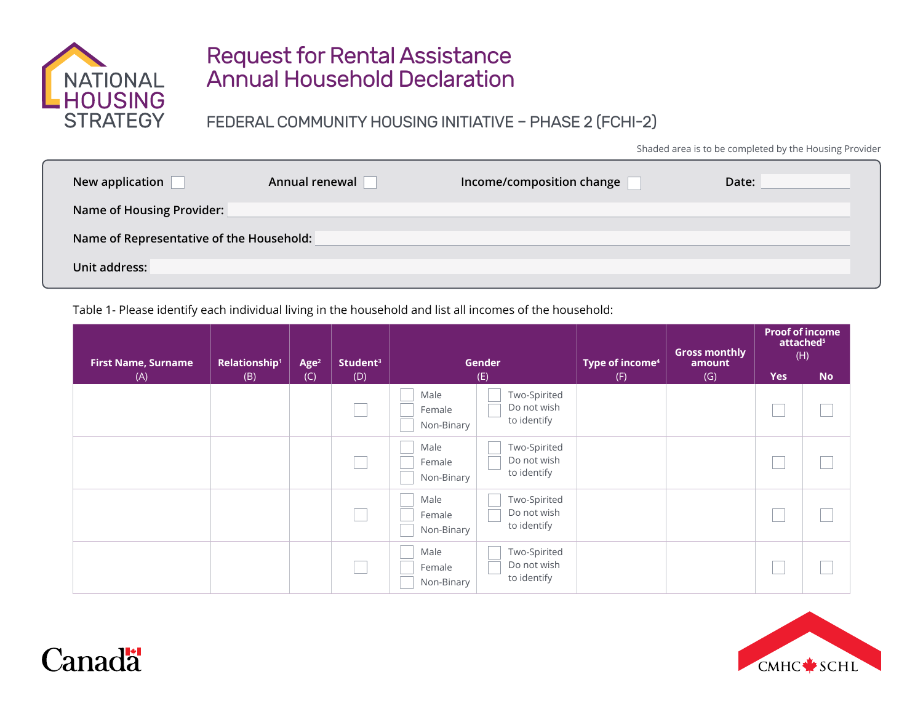

## Request for Rental Assistance Annual Household Declaration

FEDERAL COMMUNITY HOUSING INITIATIVE – PHASE 2 (FCHI-2)

Shaded area is to be completed by the Housing Provider

| New application                          | Annual renewal | Income/composition change | Date: |  |  |  |
|------------------------------------------|----------------|---------------------------|-------|--|--|--|
| <b>Name of Housing Provider:</b>         |                |                           |       |  |  |  |
| Name of Representative of the Household: |                |                           |       |  |  |  |
| Unit address:                            |                |                           |       |  |  |  |

Table 1- Please identify each individual living in the household and list all incomes of the household:

| <b>First Name, Surname</b><br>(A) | Relationship <sup>1</sup><br>(B) | Age <sup>2</sup><br>(C) | Student <sup>3</sup><br>(D) | Gender<br>(E)                                                              | Type of income <sup>4</sup><br>(F) | <b>Gross monthly</b><br>amount<br>(G) | <b>Proof of income</b><br>attached <sup>5</sup><br>(H)<br><b>No</b><br><b>Yes</b> |  |
|-----------------------------------|----------------------------------|-------------------------|-----------------------------|----------------------------------------------------------------------------|------------------------------------|---------------------------------------|-----------------------------------------------------------------------------------|--|
|                                   |                                  |                         |                             | Two-Spirited<br>Male<br>Do not wish<br>Female<br>to identify<br>Non-Binary |                                    |                                       |                                                                                   |  |
|                                   |                                  |                         |                             | Two-Spirited<br>Male<br>Do not wish<br>Female<br>to identify<br>Non-Binary |                                    |                                       |                                                                                   |  |
|                                   |                                  |                         |                             | Two-Spirited<br>Male<br>Do not wish<br>Female<br>to identify<br>Non-Binary |                                    |                                       |                                                                                   |  |
|                                   |                                  |                         |                             | Two-Spirited<br>Male<br>Do not wish<br>Female<br>to identify<br>Non-Binary |                                    |                                       |                                                                                   |  |



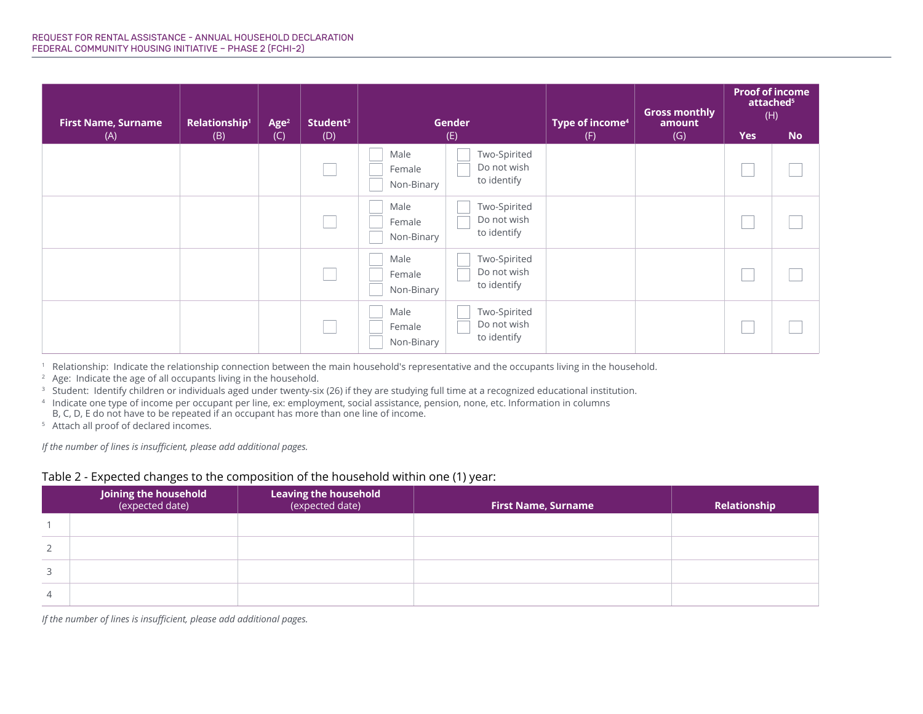| <b>First Name, Surname</b> | <b>Relationship<sup>1</sup></b> | Age <sup>2</sup> | Student <sup>3</sup> | <b>Gender</b>                |                                            | Type of income <sup>4</sup> | <b>Gross monthly</b><br>amount | <b>Proof of income</b><br>attached <sup>5</sup><br>(H) |           |
|----------------------------|---------------------------------|------------------|----------------------|------------------------------|--------------------------------------------|-----------------------------|--------------------------------|--------------------------------------------------------|-----------|
| (A)                        | (B)                             | (C)              | (D)                  |                              | (E)                                        | (F)                         | (G)                            | <b>Yes</b>                                             | <b>No</b> |
|                            |                                 |                  |                      | Male<br>Female<br>Non-Binary | Two-Spirited<br>Do not wish<br>to identify |                             |                                |                                                        |           |
|                            |                                 |                  |                      | Male<br>Female<br>Non-Binary | Two-Spirited<br>Do not wish<br>to identify |                             |                                |                                                        |           |
|                            |                                 |                  |                      | Male<br>Female<br>Non-Binary | Two-Spirited<br>Do not wish<br>to identify |                             |                                |                                                        |           |
|                            |                                 |                  |                      | Male<br>Female<br>Non-Binary | Two-Spirited<br>Do not wish<br>to identify |                             |                                |                                                        |           |

1 Relationship: Indicate the relationship connection between the main household's representative and the occupants living in the household.

<sup>2</sup> Age: Indicate the age of all occupants living in the household.

<sup>3</sup> Student: Identify children or individuals aged under twenty-six (26) if they are studying full time at a recognized educational institution.

4 Indicate one type of income per occupant per line, ex: employment, social assistance, pension, none, etc. Information in columns B, C, D, E do not have to be repeated if an occupant has more than one line of income.

5 Attach all proof of declared incomes.

*If the number of lines is insufficient, please add additional pages.*

## Table 2 - Expected changes to the composition of the household within one (1) year:

|                | <b>Joining the household</b><br>(expected date) | <b>Leaving the household</b><br>(expected date) | <b>First Name, Surname</b> | Relationship |
|----------------|-------------------------------------------------|-------------------------------------------------|----------------------------|--------------|
|                |                                                 |                                                 |                            |              |
| 2              |                                                 |                                                 |                            |              |
| 3              |                                                 |                                                 |                            |              |
| $\overline{4}$ |                                                 |                                                 |                            |              |

*If the number of lines is insufficient, please add additional pages.*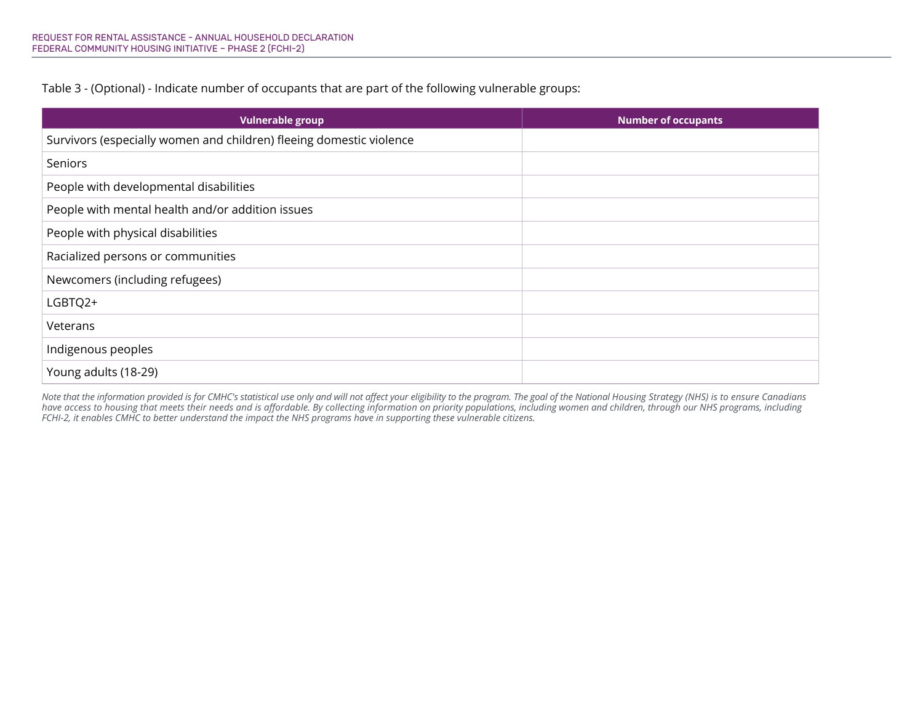Table 3 - (Optional) - Indicate number of occupants that are part of the following vulnerable groups:

| <b>Vulnerable group</b>                                             | <b>Number of occupants</b> |
|---------------------------------------------------------------------|----------------------------|
| Survivors (especially women and children) fleeing domestic violence |                            |
| Seniors                                                             |                            |
| People with developmental disabilities                              |                            |
| People with mental health and/or addition issues                    |                            |
| People with physical disabilities                                   |                            |
| Racialized persons or communities                                   |                            |
| Newcomers (including refugees)                                      |                            |
| LGBTQ2+                                                             |                            |
| Veterans                                                            |                            |
| Indigenous peoples                                                  |                            |
| Young adults (18-29)                                                |                            |

*Note that the information provided is for CMHC's statistical use only and will not affect your eligibility to the program. The goal of the National Housing Strategy (NHS) is to ensure Canadians have access to housing that meets their needs and is affordable. By collecting information on priority populations, including women and children, through our NHS programs, including FCHI-2, it enables CMHC to better understand the impact the NHS programs have in supporting these vulnerable citizens.*